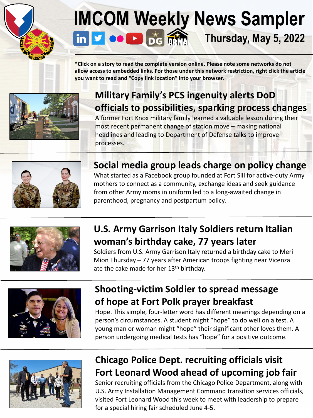# **[IM]((99+) U.S. Army Installation Management Command: Overview | LinkedIn)[CO](www.twitter.com/ArmyIMCOM)M [Wee](https://apps.apple.com/us/app/digital-garrison/id1484777325)[kly](https://www.armymaintenance.com/arma) News Sampler**<br> **in v c D bg m**<br> **in v c bg m**<br> **in v c b**<sub>**s**</del> **m**<br> **in b c m**<br> **in b c m**</sub> **Thursday, May 5, 2022**

**\*Click on a story to read the complete version online. Please note some networks do not allow access to embedded links. For those under this network restriction, right click the article you want to read and "Copy link location" into your browser.** 



### **Military Family's PCS ingenuity alerts DoD [officials to possibilities, sparking process changes](https://www.army.mil/article/256351)**

A former Fort Knox military family learned a valuable lesson during their most recent permanent change of station move – making national headlines and leading to Department of Defense talks to improve processes.



#### **Social media group leads charge on policy change**

What started as a Facebook group founded at Fort Sill for active-duty Army mothers to connect as a community, exchange ideas and seek guidance from other Army moms in uniform led to a long-awaited change in parenthood, pregnancy and postpartum policy.



#### **[U.S. Army Garrison Italy Soldiers return Italian](https://www.army.mil/article/256190/u_s_army_garrison_italy_soldiers_return_italian_womans_birthday_cake_77_years_later)  woman's birthday cake, 77 years later**

Soldiers from U.S. Army Garrison Italy returned a birthday cake to Meri Mion Thursday – 77 years after American troops fighting near Vicenza ate the cake made for her 13<sup>th</sup> birthday.



#### **[Shooting-victim Soldier to spread message](https://www.army.mil/article/256257) [of hope at Fort Polk prayer breakfast](https://www.army.mil/article/256337)**

Hope. This simple, four-letter word has different meanings depending on a person's circumstances. A student might "hope" to do well on a test. A young man or woman might "hope" their significant other loves them. A person undergoing medical tests has "hope" for a positive outcome.



#### **Chicago Police Dept. recruiting officials visit [Fort Leonard Wood ahead of upcoming job fair](https://www.army.mil/article/256206/chicago_police_department_recruiting_officials_visit_fort_leonard_wood_ahead_of_upcoming_job_fair)**

Senior recruiting officials from the Chicago Police Department, along with U.S. Army Installation Management Command transition services officials, visited Fort Leonard Wood this week to meet with leadership to prepare for a special hiring fair scheduled June 4-5.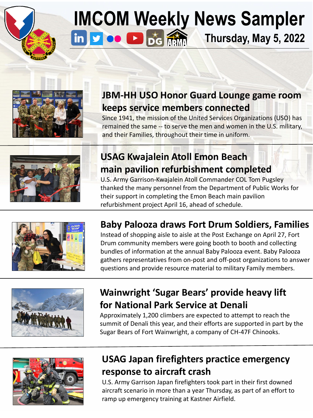

# **[IM]((99+) U.S. Army Installation Management Command: Overview | LinkedIn)[CO](www.twitter.com/ArmyIMCOM)[M W](www.youtube.com/installationMgt)[ee](https://apps.apple.com/us/app/digital-garrison/id1484777325)[kly](https://www.armymaintenance.com/arma) News Sampler**<br> **in Probability** Thursday, May 5, 2022 **Thursday, May 5, 2022**



### **[JBM-HH USO Honor Guard Lounge game room](https://www.army.mil/article/256187)  keeps service members connected**

Since 1941, the mission of the United Services Organizations (USO) has remained the same -- to serve the men and women in the U.S. military, and their Families, throughout their time in uniform.



#### **USAG Kwajalein Atoll Emon Beach [main pavilion refurbishment completed](https://www.army.mil/article/256087)**

U.S. Army Garrison-Kwajalein Atoll Commander COL Tom Pugsley thanked the many personnel from the Department of Public Works for their support in completing the Emon Beach main pavilion refurbishment project April 16, ahead of schedule.



#### **[Baby Palooza draws Fort Drum Soldiers, Families](https://www.army.mil/article/256119/baby_palooza_draws_fort_drum_soldiers_family_members_to_post_exchange)**

Instead of shopping aisle to aisle at the Post Exchange on April 27, Fort Drum community members were going booth to booth and collecting bundles of information at the annual Baby Palooza event. Baby Palooza gathers representatives from on-post and off-post organizations to answer questions and provide resource material to military Family members.



#### **[Wainwright 'Sugar Bears' provide heavy lift](https://www.army.mil/article/256354) for National Park Service at Denali**

Approximately 1,200 climbers are expected to attempt to reach the summit of Denali this year, and their efforts are supported in part by the Sugar Bears of Fort Wainwright, a company of CH-47F Chinooks.



#### **[USAG Japan firefighters practice emergency](https://www.army.mil/article/256217/firefighters_practice_emergency_response_to_aircraft_crash)  response to aircraft crash**

U.S. Army Garrison Japan firefighters took part in their first downed aircraft scenario in more than a year Thursday, as part of an effort to ramp up emergency training at Kastner Airfield.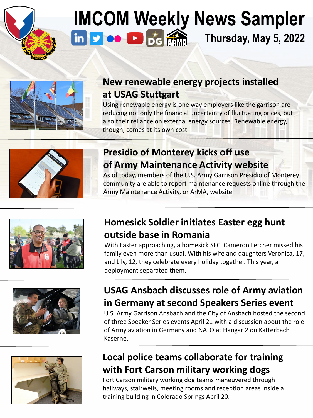

### **[IM]((99+) U.S. Army Installation Management Command: Overview | LinkedIn)[CO](www.twitter.com/ArmyIMCOM)[M W](www.youtube.com/installationMgt)[ee](https://apps.apple.com/us/app/digital-garrison/id1484777325)[kly](https://www.armymaintenance.com/arma) News Sampler**  in **you** Digital **Thursday, May 5, 2022**



#### **[New renewable energy projects installed](https://www.army.mil/article/256225/new_renewable_energy_projects_at_usag_st) at USAG Stuttgart**

Using renewable energy is one way employers like the garrison are reducing not only the financial uncertainty of fluctuating prices, but also their reliance on external energy sources. Renewable energy, though, comes at its own cost.



#### **Presidio of Monterey kicks off use [of Army Maintenance Activity website](https://www.army.mil/article/256306/presidio_of_monterey_kicks_off_use_of_army_maintenance_site#:~:text=PRESIDIO%20OF%20MONTEREY%2C%20Calif.,Activity%2C%20or%20ArMA%2C%20website.)**

As of today, members of the U.S. Army Garrison Presidio of Monterey community are able to report maintenance requests online through the Army Maintenance Activity, or ArMA, website.



#### **[Homesick Soldier initiates Easter egg hunt](https://www.army.mil/article/256322/homesick_soldier_initiates_easter_egg_hunt_in_garrison_front_yard) outside base in Romania**

With Easter approaching, a homesick SFC Cameron Letcher missed his family even more than usual. With his wife and daughters Veronica, 17, and Lily, 12, they celebrate every holiday together. This year, a deployment separated them.



#### **[USAG Ansbach discusses role of Army aviation](https://www.army.mil/article/256166/ansbach_discusses_role_of_aviation_in_second_speakers_series) in Germany at second Speakers Series event**

U.S. Army Garrison Ansbach and the City of Ansbach hosted the second of three Speaker Series events April 21 with a discussion about the role of Army aviation in Germany and NATO at Hangar 2 on Katterbach Kaserne.



#### **[Local police teams collaborate for training](https://www.army.mil/article/256231)  with Fort Carson military working dogs**

Fort Carson military working dog teams maneuvered through hallways, stairwells, meeting rooms and reception areas inside a training building in Colorado Springs April 20.